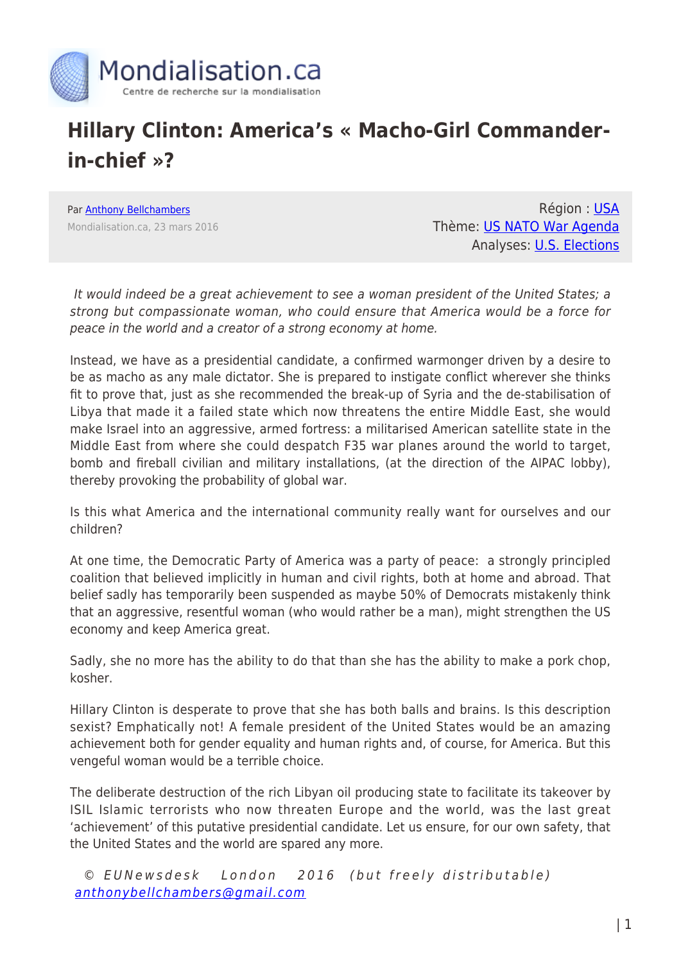

## **Hillary Clinton: America's « Macho-Girl Commanderin-chief »?**

Par [Anthony Bellchambers](https://www.mondialisation.ca/author/bellchambers) Mondialisation.ca, 23 mars 2016

Région : [USA](https://www.mondialisation.ca/region/usa) Thème: [US NATO War Agenda](https://www.mondialisation.ca/theme/us-nato-war-agenda) Analyses: [U.S. Elections](https://www.mondialisation.ca/indepthreport/u-s-elections)

It would indeed be a great achievement to see a woman president of the United States; a strong but compassionate woman, who could ensure that America would be a force for peace in the world and a creator of a strong economy at home.

Instead, we have as a presidential candidate, a confirmed warmonger driven by a desire to be as macho as any male dictator. She is prepared to instigate conflict wherever she thinks fit to prove that, just as she recommended the break-up of Syria and the de-stabilisation of Libya that made it a failed state which now threatens the entire Middle East, she would make Israel into an aggressive, armed fortress: a militarised American satellite state in the Middle East from where she could despatch F35 war planes around the world to target, bomb and fireball civilian and military installations, (at the direction of the AIPAC lobby), thereby provoking the probability of global war.

Is this what America and the international community really want for ourselves and our children?

At one time, the Democratic Party of America was a party of peace: a strongly principled coalition that believed implicitly in human and civil rights, both at home and abroad. That belief sadly has temporarily been suspended as maybe 50% of Democrats mistakenly think that an aggressive, resentful woman (who would rather be a man), might strengthen the US economy and keep America great.

Sadly, she no more has the ability to do that than she has the ability to make a pork chop, kosher.

Hillary Clinton is desperate to prove that she has both balls and brains. Is this description sexist? Emphatically not! A female president of the United States would be an amazing achievement both for gender equality and human rights and, of course, for America. But this vengeful woman would be a terrible choice.

The deliberate destruction of the rich Libyan oil producing state to facilitate its takeover by ISIL Islamic terrorists who now threaten Europe and the world, was the last great 'achievement' of this putative presidential candidate. Let us ensure, for our own safety, that the United States and the world are spared any more.

 © EUNewsdesk London 2016 (but freely distributable) [anthonybellchambers@gmail.com](mailto:anthonybellchambers@gmail.com)